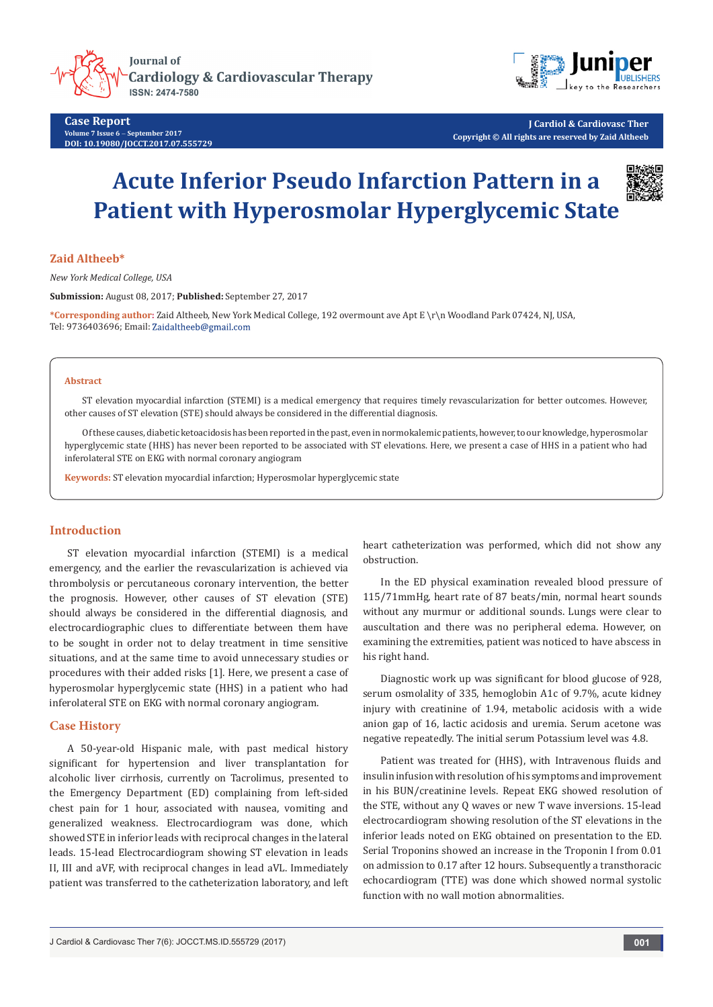





**J Cardiol & Cardiovasc Ther Copyright © All rights are reserved by Zaid Altheeb**

# **Acute Inferior Pseudo Infarction Pattern in a Patient with Hyperosmolar Hyperglycemic State**



## **Zaid Altheeb\***

*New York Medical College, USA*

**Submission:** August 08, 2017; **Published:** September 27, 2017

**\*Corresponding author:** Zaid Altheeb, New York Medical College, 192 overmount ave Apt E \r\n Woodland Park 07424, NJ, USA, Tel: 9736403696; Email: Zaidaltheeb@gmail.com

#### **Abstract**

ST elevation myocardial infarction (STEMI) is a medical emergency that requires timely revascularization for better outcomes. However, other causes of ST elevation (STE) should always be considered in the differential diagnosis.

Of these causes, diabetic ketoacidosis has been reported in the past, even in normokalemic patients, however, to our knowledge, hyperosmolar hyperglycemic state (HHS) has never been reported to be associated with ST elevations. Here, we present a case of HHS in a patient who had inferolateral STE on EKG with normal coronary angiogram

**Keywords:** ST elevation myocardial infarction; Hyperosmolar hyperglycemic state

## **Introduction**

ST elevation myocardial infarction (STEMI) is a medical emergency, and the earlier the revascularization is achieved via thrombolysis or percutaneous coronary intervention, the better the prognosis. However, other causes of ST elevation (STE) should always be considered in the differential diagnosis, and electrocardiographic clues to differentiate between them have to be sought in order not to delay treatment in time sensitive situations, and at the same time to avoid unnecessary studies or procedures with their added risks [1]. Here, we present a case of hyperosmolar hyperglycemic state (HHS) in a patient who had inferolateral STE on EKG with normal coronary angiogram.

#### **Case History**

A 50-year-old Hispanic male, with past medical history significant for hypertension and liver transplantation for alcoholic liver cirrhosis, currently on Tacrolimus, presented to the Emergency Department (ED) complaining from left-sided chest pain for 1 hour, associated with nausea, vomiting and generalized weakness. Electrocardiogram was done, which showed STE in inferior leads with reciprocal changes in the lateral leads. 15-lead Electrocardiogram showing ST elevation in leads II, III and aVF, with reciprocal changes in lead aVL. Immediately patient was transferred to the catheterization laboratory, and left

heart catheterization was performed, which did not show any obstruction.

In the ED physical examination revealed blood pressure of 115/71mmHg, heart rate of 87 beats/min, normal heart sounds without any murmur or additional sounds. Lungs were clear to auscultation and there was no peripheral edema. However, on examining the extremities, patient was noticed to have abscess in his right hand.

Diagnostic work up was significant for blood glucose of 928, serum osmolality of 335, hemoglobin A1c of 9.7%, acute kidney injury with creatinine of 1.94, metabolic acidosis with a wide anion gap of 16, lactic acidosis and uremia. Serum acetone was negative repeatedly. The initial serum Potassium level was 4.8.

Patient was treated for (HHS), with Intravenous fluids and insulin infusion with resolution of his symptoms and improvement in his BUN/creatinine levels. Repeat EKG showed resolution of the STE, without any Q waves or new T wave inversions. 15-lead electrocardiogram showing resolution of the ST elevations in the inferior leads noted on EKG obtained on presentation to the ED. Serial Troponins showed an increase in the Troponin I from 0.01 on admission to 0.17 after 12 hours. Subsequently a transthoracic echocardiogram (TTE) was done which showed normal systolic function with no wall motion abnormalities.

J Cardiol & Cardiovasc Ther 7(6): JOCCT.MS.ID.555729 (2017) **001**